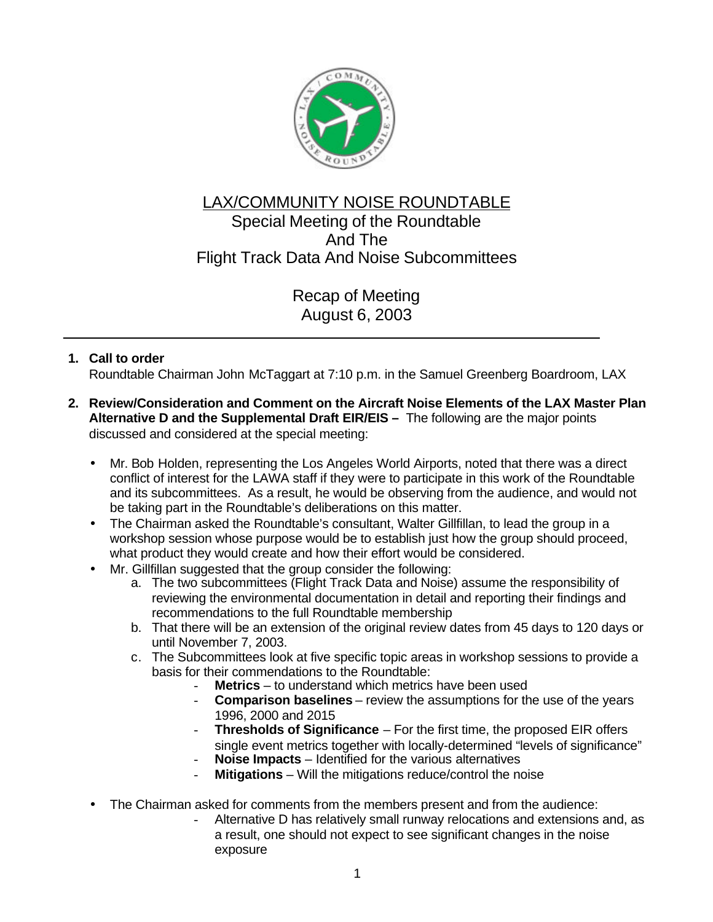

## LAX/COMMUNITY NOISE ROUNDTABLE Special Meeting of the Roundtable And The Flight Track Data And Noise Subcommittees

Recap of Meeting August 6, 2003

## **1. Call to order**

Roundtable Chairman John McTaggart at 7:10 p.m. in the Samuel Greenberg Boardroom, LAX

- **2. Review/Consideration and Comment on the Aircraft Noise Elements of the LAX Master Plan Alternative D and the Supplemental Draft EIR/EIS –** The following are the major points discussed and considered at the special meeting:
	- Mr. Bob Holden, representing the Los Angeles World Airports, noted that there was a direct conflict of interest for the LAWA staff if they were to participate in this work of the Roundtable and its subcommittees. As a result, he would be observing from the audience, and would not be taking part in the Roundtable's deliberations on this matter.
	- The Chairman asked the Roundtable's consultant, Walter Gillfillan, to lead the group in a workshop session whose purpose would be to establish just how the group should proceed, what product they would create and how their effort would be considered.
	- Mr. Gillfillan suggested that the group consider the following:
		- a. The two subcommittees (Flight Track Data and Noise) assume the responsibility of reviewing the environmental documentation in detail and reporting their findings and recommendations to the full Roundtable membership
		- b. That there will be an extension of the original review dates from 45 days to 120 days or until November 7, 2003.
		- c. The Subcommittees look at five specific topic areas in workshop sessions to provide a basis for their commendations to the Roundtable:
			- **Metrics** to understand which metrics have been used
			- **Comparison baselines** review the assumptions for the use of the years 1996, 2000 and 2015
			- **Thresholds of Significance** For the first time, the proposed EIR offers single event metrics together with locally-determined "levels of significance"
			- **Noise Impacts** Identified for the various alternatives
			- **Mitigations** Will the mitigations reduce/control the noise
	- The Chairman asked for comments from the members present and from the audience:
		- Alternative D has relatively small runway relocations and extensions and, as a result, one should not expect to see significant changes in the noise exposure